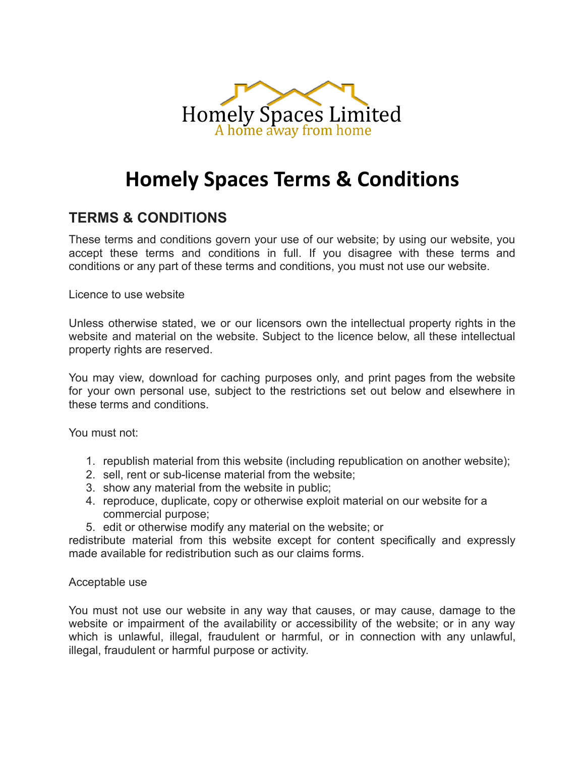

# **Homely Spaces Terms & Conditions**

# **TERMS & CONDITIONS**

These terms and conditions govern your use of our website; by using our website, you accept these terms and conditions in full. If you disagree with these terms and conditions or any part of these terms and conditions, you must not use our website.

Licence to use website

Unless otherwise stated, we or our licensors own the intellectual property rights in the website and material on the website. Subject to the licence below, all these intellectual property rights are reserved.

You may view, download for caching purposes only, and print pages from the website for your own personal use, subject to the restrictions set out below and elsewhere in these terms and conditions.

You must not:

- 1. republish material from this website (including republication on another website);
- 2. sell, rent or sub-license material from the website;
- 3. show any material from the website in public;
- 4. reproduce, duplicate, copy or otherwise exploit material on our website for a commercial purpose;
- 5. edit or otherwise modify any material on the website; or

redistribute material from this website except for content specifically and expressly made available for redistribution such as our claims forms.

### Acceptable use

You must not use our website in any way that causes, or may cause, damage to the website or impairment of the availability or accessibility of the website; or in any way which is unlawful, illegal, fraudulent or harmful, or in connection with any unlawful, illegal, fraudulent or harmful purpose or activity.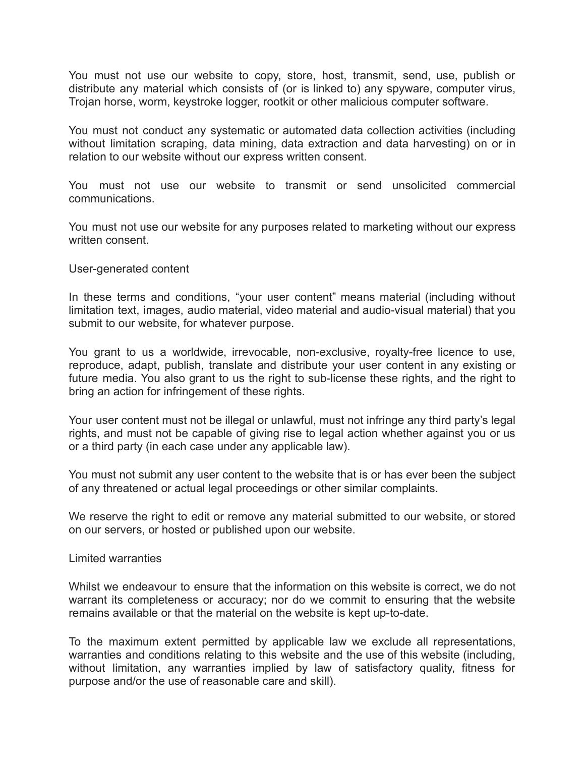You must not use our website to copy, store, host, transmit, send, use, publish or distribute any material which consists of (or is linked to) any spyware, computer virus, Trojan horse, worm, keystroke logger, rootkit or other malicious computer software.

You must not conduct any systematic or automated data collection activities (including without limitation scraping, data mining, data extraction and data harvesting) on or in relation to our website without our express written consent.

You must not use our website to transmit or send unsolicited commercial communications.

You must not use our website for any purposes related to marketing without our express written consent.

### User-generated content

In these terms and conditions, "your user content" means material (including without limitation text, images, audio material, video material and audio-visual material) that you submit to our website, for whatever purpose.

You grant to us a worldwide, irrevocable, non-exclusive, royalty-free licence to use, reproduce, adapt, publish, translate and distribute your user content in any existing or future media. You also grant to us the right to sub-license these rights, and the right to bring an action for infringement of these rights.

Your user content must not be illegal or unlawful, must not infringe any third party's legal rights, and must not be capable of giving rise to legal action whether against you or us or a third party (in each case under any applicable law).

You must not submit any user content to the website that is or has ever been the subject of any threatened or actual legal proceedings or other similar complaints.

We reserve the right to edit or remove any material submitted to our website, or stored on our servers, or hosted or published upon our website.

Limited warranties

Whilst we endeavour to ensure that the information on this website is correct, we do not warrant its completeness or accuracy; nor do we commit to ensuring that the website remains available or that the material on the website is kept up-to-date.

To the maximum extent permitted by applicable law we exclude all representations, warranties and conditions relating to this website and the use of this website (including, without limitation, any warranties implied by law of satisfactory quality, fitness for purpose and/or the use of reasonable care and skill).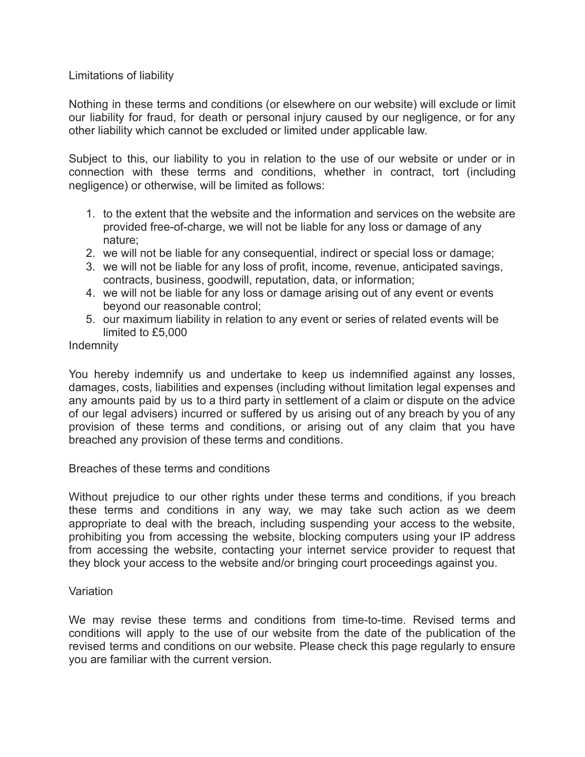# Limitations of liability

Nothing in these terms and conditions (or elsewhere on our website) will exclude or limit our liability for fraud, for death or personal injury caused by our negligence, or for any other liability which cannot be excluded or limited under applicable law.

Subject to this, our liability to you in relation to the use of our website or under or in connection with these terms and conditions, whether in contract, tort (including negligence) or otherwise, will be limited as follows:

- 1. to the extent that the website and the information and services on the website are provided free-of-charge, we will not be liable for any loss or damage of any nature;
- 2. we will not be liable for any consequential, indirect or special loss or damage;
- 3. we will not be liable for any loss of profit, income, revenue, anticipated savings, contracts, business, goodwill, reputation, data, or information;
- 4. we will not be liable for any loss or damage arising out of any event or events beyond our reasonable control;
- 5. our maximum liability in relation to any event or series of related events will be limited to £5,000

# Indemnity

You hereby indemnify us and undertake to keep us indemnified against any losses, damages, costs, liabilities and expenses (including without limitation legal expenses and any amounts paid by us to a third party in settlement of a claim or dispute on the advice of our legal advisers) incurred or suffered by us arising out of any breach by you of any provision of these terms and conditions, or arising out of any claim that you have breached any provision of these terms and conditions.

Breaches of these terms and conditions

Without prejudice to our other rights under these terms and conditions, if you breach these terms and conditions in any way, we may take such action as we deem appropriate to deal with the breach, including suspending your access to the website, prohibiting you from accessing the website, blocking computers using your IP address from accessing the website, contacting your internet service provider to request that they block your access to the website and/or bringing court proceedings against you.

# **Variation**

We may revise these terms and conditions from time-to-time. Revised terms and conditions will apply to the use of our website from the date of the publication of the revised terms and conditions on our website. Please check this page regularly to ensure you are familiar with the current version.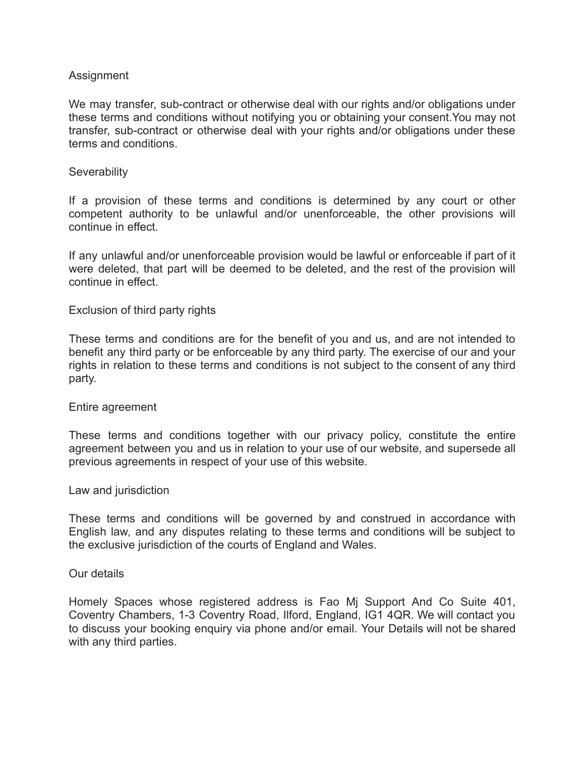# Assignment

We may transfer, sub-contract or otherwise deal with our rights and/or obligations under these terms and conditions without notifying you or obtaining your consent.You may not transfer, sub-contract or otherwise deal with your rights and/or obligations under these terms and conditions.

## **Severability**

If a provision of these terms and conditions is determined by any court or other competent authority to be unlawful and/or unenforceable, the other provisions will continue in effect.

If any unlawful and/or unenforceable provision would be lawful or enforceable if part of it were deleted, that part will be deemed to be deleted, and the rest of the provision will continue in effect.

# Exclusion of third party rights

These terms and conditions are for the benefit of you and us, and are not intended to benefit any third party or be enforceable by any third party. The exercise of our and your rights in relation to these terms and conditions is not subject to the consent of any third party.

### Entire agreement

These terms and conditions together with our privacy policy, constitute the entire agreement between you and us in relation to your use of our website, and supersede all previous agreements in respect of your use of this website.

### Law and jurisdiction

These terms and conditions will be governed by and construed in accordance with English law, and any disputes relating to these terms and conditions will be subject to the exclusive jurisdiction of the courts of England and Wales.

### Our details

Homely Spaces whose registered address is Fao Mj Support And Co Suite 401, Coventry Chambers, 1-3 Coventry Road, Ilford, England, IG1 4QR. We will contact you to discuss your booking enquiry via phone and/or email. Your Details will not be shared with any third parties.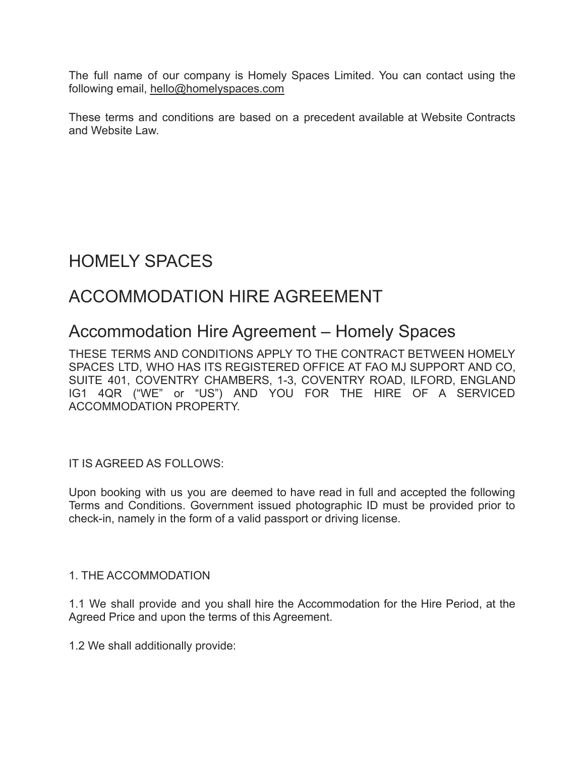The full name of our company is Homely Spaces Limited. You can contact using the following email, hello@homelyspaces.com

These terms and conditions are based on a precedent available at Website Contracts and Website Law.

# HOMELY SPACES

# ACCOMMODATION HIRE AGREEMENT

# Accommodation Hire Agreement – Homely Spaces

THESE TERMS AND CONDITIONS APPLY TO THE CONTRACT BETWEEN HOMELY SPACES LTD, WHO HAS ITS REGISTERED OFFICE AT FAO MJ SUPPORT AND CO, SUITE 401, COVENTRY CHAMBERS, 1-3, COVENTRY ROAD, ILFORD, ENGLAND IG1 4QR ("WE" or "US") AND YOU FOR THE HIRE OF A SERVICED ACCOMMODATION PROPERTY.

IT IS AGREED AS FOLLOWS:

Upon booking with us you are deemed to have read in full and accepted the following Terms and Conditions. Government issued photographic ID must be provided prior to check-in, namely in the form of a valid passport or driving license.

# 1. THE ACCOMMODATION

1.1 We shall provide and you shall hire the Accommodation for the Hire Period, at the Agreed Price and upon the terms of this Agreement.

1.2 We shall additionally provide: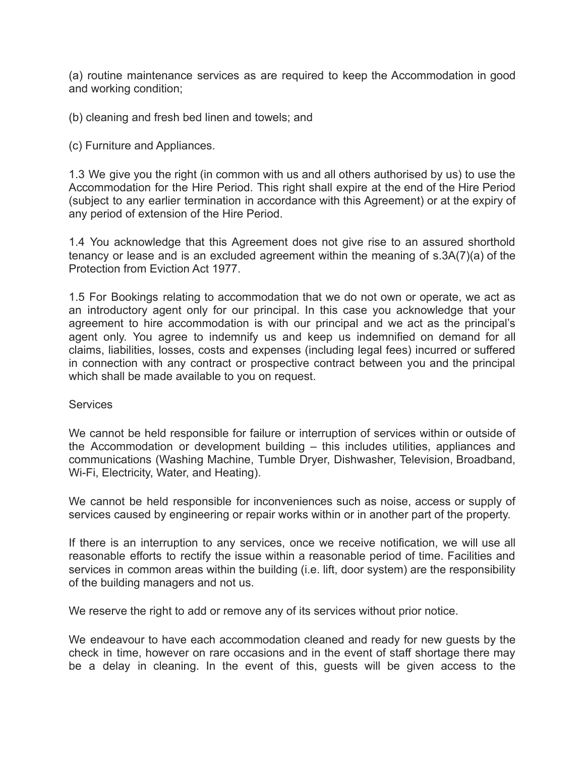(a) routine maintenance services as are required to keep the Accommodation in good and working condition;

(b) cleaning and fresh bed linen and towels; and

(c) Furniture and Appliances.

1.3 We give you the right (in common with us and all others authorised by us) to use the Accommodation for the Hire Period. This right shall expire at the end of the Hire Period (subject to any earlier termination in accordance with this Agreement) or at the expiry of any period of extension of the Hire Period.

1.4 You acknowledge that this Agreement does not give rise to an assured shorthold tenancy or lease and is an excluded agreement within the meaning of s.3A(7)(a) of the Protection from Eviction Act 1977.

1.5 For Bookings relating to accommodation that we do not own or operate, we act as an introductory agent only for our principal. In this case you acknowledge that your agreement to hire accommodation is with our principal and we act as the principal's agent only. You agree to indemnify us and keep us indemnified on demand for all claims, liabilities, losses, costs and expenses (including legal fees) incurred or suffered in connection with any contract or prospective contract between you and the principal which shall be made available to you on request.

### **Services**

We cannot be held responsible for failure or interruption of services within or outside of the Accommodation or development building – this includes utilities, appliances and communications (Washing Machine, Tumble Dryer, Dishwasher, Television, Broadband, Wi-Fi, Electricity, Water, and Heating).

We cannot be held responsible for inconveniences such as noise, access or supply of services caused by engineering or repair works within or in another part of the property.

If there is an interruption to any services, once we receive notification, we will use all reasonable efforts to rectify the issue within a reasonable period of time. Facilities and services in common areas within the building (i.e. lift, door system) are the responsibility of the building managers and not us.

We reserve the right to add or remove any of its services without prior notice.

We endeavour to have each accommodation cleaned and ready for new guests by the check in time, however on rare occasions and in the event of staff shortage there may be a delay in cleaning. In the event of this, guests will be given access to the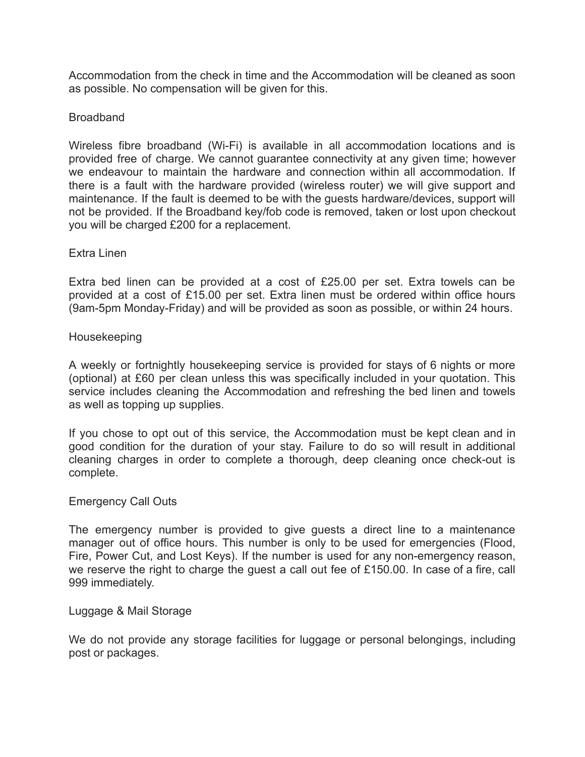Accommodation from the check in time and the Accommodation will be cleaned as soon as possible. No compensation will be given for this.

# Broadband

Wireless fibre broadband (Wi-Fi) is available in all accommodation locations and is provided free of charge. We cannot guarantee connectivity at any given time; however we endeavour to maintain the hardware and connection within all accommodation. If there is a fault with the hardware provided (wireless router) we will give support and maintenance. If the fault is deemed to be with the guests hardware/devices, support will not be provided. If the Broadband key/fob code is removed, taken or lost upon checkout you will be charged £200 for a replacement.

### Extra Linen

Extra bed linen can be provided at a cost of £25.00 per set. Extra towels can be provided at a cost of £15.00 per set. Extra linen must be ordered within office hours (9am-5pm Monday-Friday) and will be provided as soon as possible, or within 24 hours.

#### Housekeeping

A weekly or fortnightly housekeeping service is provided for stays of 6 nights or more (optional) at £60 per clean unless this was specifically included in your quotation. This service includes cleaning the Accommodation and refreshing the bed linen and towels as well as topping up supplies.

If you chose to opt out of this service, the Accommodation must be kept clean and in good condition for the duration of your stay. Failure to do so will result in additional cleaning charges in order to complete a thorough, deep cleaning once check-out is complete.

### Emergency Call Outs

The emergency number is provided to give guests a direct line to a maintenance manager out of office hours. This number is only to be used for emergencies (Flood, Fire, Power Cut, and Lost Keys). If the number is used for any non-emergency reason, we reserve the right to charge the guest a call out fee of £150.00. In case of a fire, call 999 immediately.

### Luggage & Mail Storage

We do not provide any storage facilities for luggage or personal belongings, including post or packages.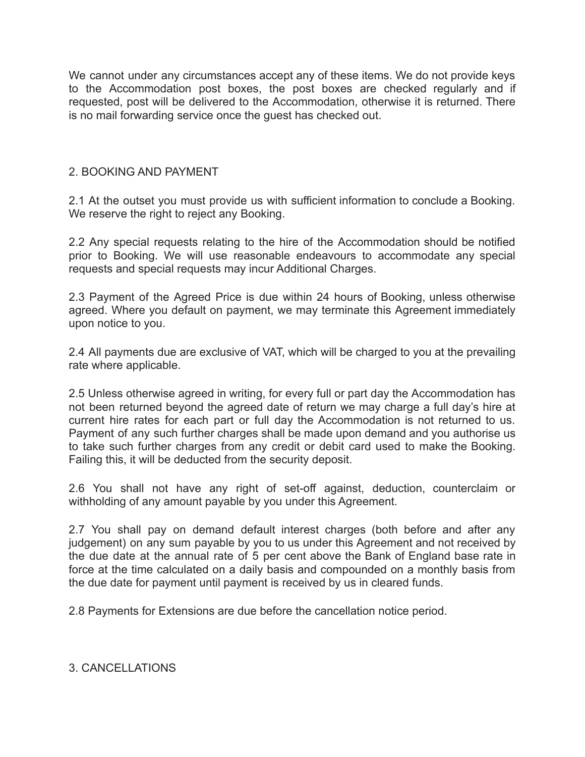We cannot under any circumstances accept any of these items. We do not provide keys to the Accommodation post boxes, the post boxes are checked regularly and if requested, post will be delivered to the Accommodation, otherwise it is returned. There is no mail forwarding service once the guest has checked out.

# 2. BOOKING AND PAYMENT

2.1 At the outset you must provide us with sufficient information to conclude a Booking. We reserve the right to reject any Booking.

2.2 Any special requests relating to the hire of the Accommodation should be notified prior to Booking. We will use reasonable endeavours to accommodate any special requests and special requests may incur Additional Charges.

2.3 Payment of the Agreed Price is due within 24 hours of Booking, unless otherwise agreed. Where you default on payment, we may terminate this Agreement immediately upon notice to you.

2.4 All payments due are exclusive of VAT, which will be charged to you at the prevailing rate where applicable.

2.5 Unless otherwise agreed in writing, for every full or part day the Accommodation has not been returned beyond the agreed date of return we may charge a full day's hire at current hire rates for each part or full day the Accommodation is not returned to us. Payment of any such further charges shall be made upon demand and you authorise us to take such further charges from any credit or debit card used to make the Booking. Failing this, it will be deducted from the security deposit.

2.6 You shall not have any right of set-off against, deduction, counterclaim or withholding of any amount payable by you under this Agreement.

2.7 You shall pay on demand default interest charges (both before and after any judgement) on any sum payable by you to us under this Agreement and not received by the due date at the annual rate of 5 per cent above the Bank of England base rate in force at the time calculated on a daily basis and compounded on a monthly basis from the due date for payment until payment is received by us in cleared funds.

2.8 Payments for Extensions are due before the cancellation notice period.

# 3. CANCELLATIONS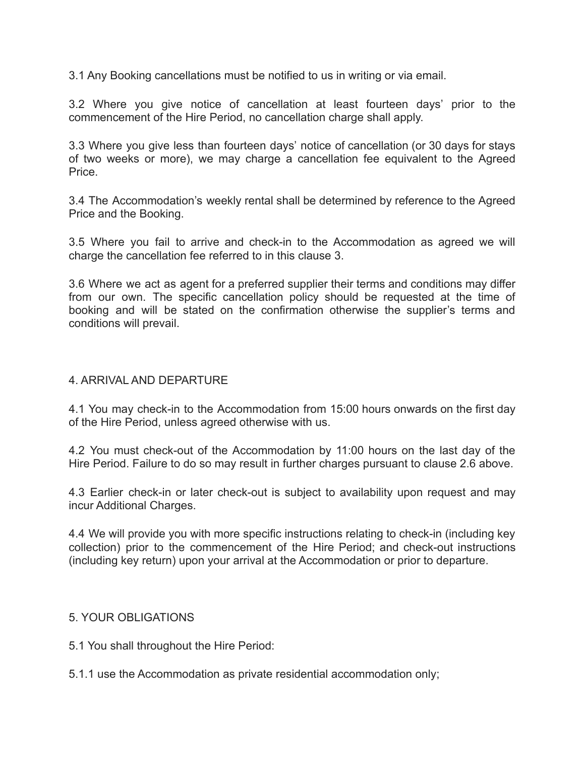3.1 Any Booking cancellations must be notified to us in writing or via email.

3.2 Where you give notice of cancellation at least fourteen days' prior to the commencement of the Hire Period, no cancellation charge shall apply.

3.3 Where you give less than fourteen days' notice of cancellation (or 30 days for stays of two weeks or more), we may charge a cancellation fee equivalent to the Agreed Price.

3.4 The Accommodation's weekly rental shall be determined by reference to the Agreed Price and the Booking.

3.5 Where you fail to arrive and check-in to the Accommodation as agreed we will charge the cancellation fee referred to in this clause 3.

3.6 Where we act as agent for a preferred supplier their terms and conditions may differ from our own. The specific cancellation policy should be requested at the time of booking and will be stated on the confirmation otherwise the supplier's terms and conditions will prevail.

# 4. ARRIVAL AND DEPARTURE

4.1 You may check-in to the Accommodation from 15:00 hours onwards on the first day of the Hire Period, unless agreed otherwise with us.

4.2 You must check-out of the Accommodation by 11:00 hours on the last day of the Hire Period. Failure to do so may result in further charges pursuant to clause 2.6 above.

4.3 Earlier check-in or later check-out is subject to availability upon request and may incur Additional Charges.

4.4 We will provide you with more specific instructions relating to check-in (including key collection) prior to the commencement of the Hire Period; and check-out instructions (including key return) upon your arrival at the Accommodation or prior to departure.

# 5. YOUR OBLIGATIONS

5.1 You shall throughout the Hire Period:

5.1.1 use the Accommodation as private residential accommodation only;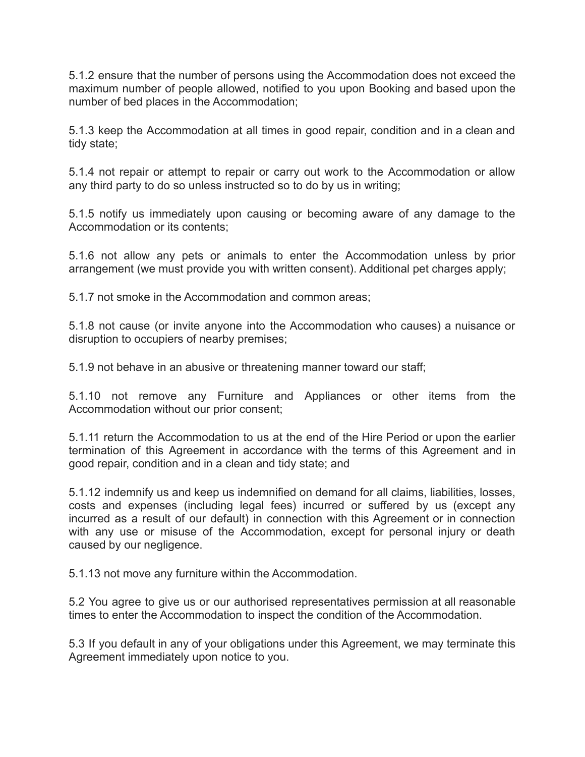5.1.2 ensure that the number of persons using the Accommodation does not exceed the maximum number of people allowed, notified to you upon Booking and based upon the number of bed places in the Accommodation;

5.1.3 keep the Accommodation at all times in good repair, condition and in a clean and tidy state;

5.1.4 not repair or attempt to repair or carry out work to the Accommodation or allow any third party to do so unless instructed so to do by us in writing;

5.1.5 notify us immediately upon causing or becoming aware of any damage to the Accommodation or its contents;

5.1.6 not allow any pets or animals to enter the Accommodation unless by prior arrangement (we must provide you with written consent). Additional pet charges apply;

5.1.7 not smoke in the Accommodation and common areas;

5.1.8 not cause (or invite anyone into the Accommodation who causes) a nuisance or disruption to occupiers of nearby premises;

5.1.9 not behave in an abusive or threatening manner toward our staff;

5.1.10 not remove any Furniture and Appliances or other items from the Accommodation without our prior consent;

5.1.11 return the Accommodation to us at the end of the Hire Period or upon the earlier termination of this Agreement in accordance with the terms of this Agreement and in good repair, condition and in a clean and tidy state; and

5.1.12 indemnify us and keep us indemnified on demand for all claims, liabilities, losses, costs and expenses (including legal fees) incurred or suffered by us (except any incurred as a result of our default) in connection with this Agreement or in connection with any use or misuse of the Accommodation, except for personal injury or death caused by our negligence.

5.1.13 not move any furniture within the Accommodation.

5.2 You agree to give us or our authorised representatives permission at all reasonable times to enter the Accommodation to inspect the condition of the Accommodation.

5.3 If you default in any of your obligations under this Agreement, we may terminate this Agreement immediately upon notice to you.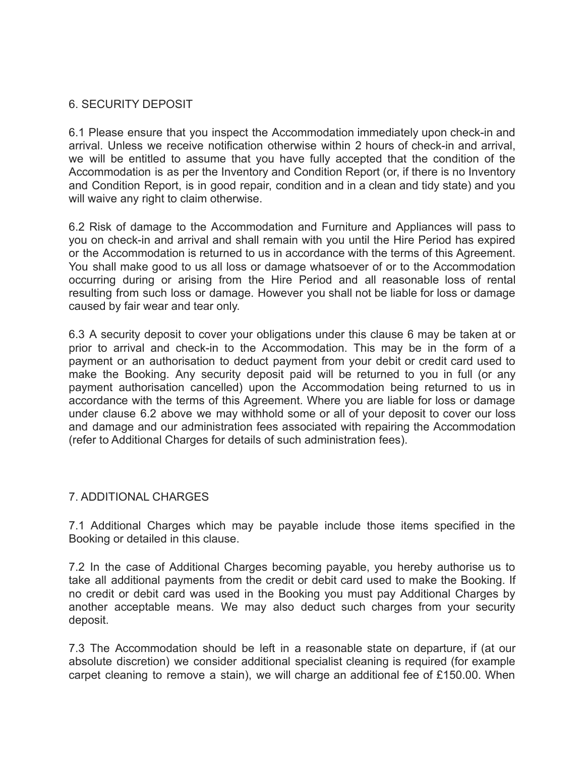# 6. SECURITY DEPOSIT

6.1 Please ensure that you inspect the Accommodation immediately upon check-in and arrival. Unless we receive notification otherwise within 2 hours of check-in and arrival, we will be entitled to assume that you have fully accepted that the condition of the Accommodation is as per the Inventory and Condition Report (or, if there is no Inventory and Condition Report, is in good repair, condition and in a clean and tidy state) and you will waive any right to claim otherwise.

6.2 Risk of damage to the Accommodation and Furniture and Appliances will pass to you on check-in and arrival and shall remain with you until the Hire Period has expired or the Accommodation is returned to us in accordance with the terms of this Agreement. You shall make good to us all loss or damage whatsoever of or to the Accommodation occurring during or arising from the Hire Period and all reasonable loss of rental resulting from such loss or damage. However you shall not be liable for loss or damage caused by fair wear and tear only.

6.3 A security deposit to cover your obligations under this clause 6 may be taken at or prior to arrival and check-in to the Accommodation. This may be in the form of a payment or an authorisation to deduct payment from your debit or credit card used to make the Booking. Any security deposit paid will be returned to you in full (or any payment authorisation cancelled) upon the Accommodation being returned to us in accordance with the terms of this Agreement. Where you are liable for loss or damage under clause 6.2 above we may withhold some or all of your deposit to cover our loss and damage and our administration fees associated with repairing the Accommodation (refer to Additional Charges for details of such administration fees).

# 7. ADDITIONAL CHARGES

7.1 Additional Charges which may be payable include those items specified in the Booking or detailed in this clause.

7.2 In the case of Additional Charges becoming payable, you hereby authorise us to take all additional payments from the credit or debit card used to make the Booking. If no credit or debit card was used in the Booking you must pay Additional Charges by another acceptable means. We may also deduct such charges from your security deposit.

7.3 The Accommodation should be left in a reasonable state on departure, if (at our absolute discretion) we consider additional specialist cleaning is required (for example carpet cleaning to remove a stain), we will charge an additional fee of £150.00. When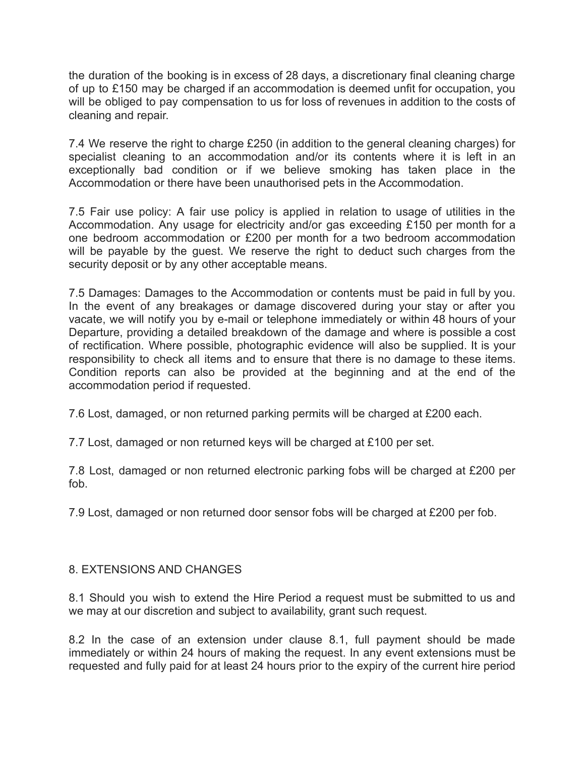the duration of the booking is in excess of 28 days, a discretionary final cleaning charge of up to £150 may be charged if an accommodation is deemed unfit for occupation, you will be obliged to pay compensation to us for loss of revenues in addition to the costs of cleaning and repair.

7.4 We reserve the right to charge £250 (in addition to the general cleaning charges) for specialist cleaning to an accommodation and/or its contents where it is left in an exceptionally bad condition or if we believe smoking has taken place in the Accommodation or there have been unauthorised pets in the Accommodation.

7.5 Fair use policy: A fair use policy is applied in relation to usage of utilities in the Accommodation. Any usage for electricity and/or gas exceeding £150 per month for a one bedroom accommodation or £200 per month for a two bedroom accommodation will be payable by the guest. We reserve the right to deduct such charges from the security deposit or by any other acceptable means.

7.5 Damages: Damages to the Accommodation or contents must be paid in full by you. In the event of any breakages or damage discovered during your stay or after you vacate, we will notify you by e-mail or telephone immediately or within 48 hours of your Departure, providing a detailed breakdown of the damage and where is possible a cost of rectification. Where possible, photographic evidence will also be supplied. It is your responsibility to check all items and to ensure that there is no damage to these items. Condition reports can also be provided at the beginning and at the end of the accommodation period if requested.

7.6 Lost, damaged, or non returned parking permits will be charged at £200 each.

7.7 Lost, damaged or non returned keys will be charged at £100 per set.

7.8 Lost, damaged or non returned electronic parking fobs will be charged at £200 per fob.

7.9 Lost, damaged or non returned door sensor fobs will be charged at £200 per fob.

# 8. EXTENSIONS AND CHANGES

8.1 Should you wish to extend the Hire Period a request must be submitted to us and we may at our discretion and subject to availability, grant such request.

8.2 In the case of an extension under clause 8.1, full payment should be made immediately or within 24 hours of making the request. In any event extensions must be requested and fully paid for at least 24 hours prior to the expiry of the current hire period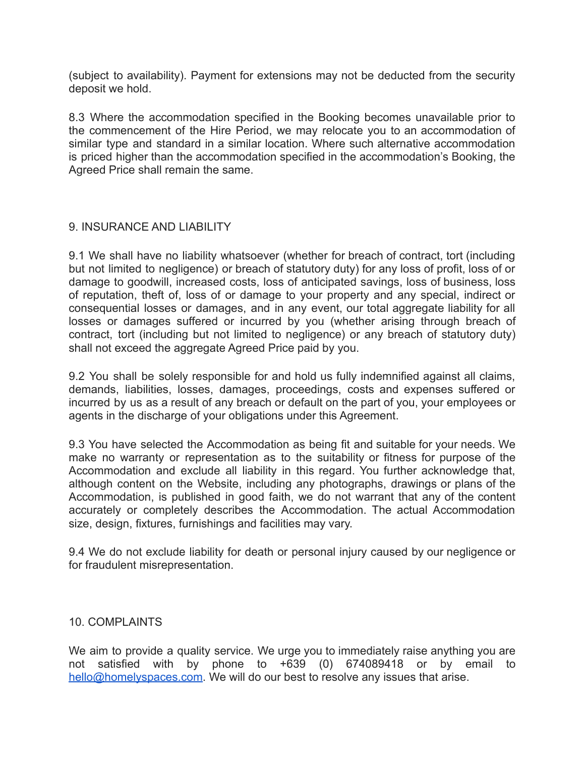(subject to availability). Payment for extensions may not be deducted from the security deposit we hold.

8.3 Where the accommodation specified in the Booking becomes unavailable prior to the commencement of the Hire Period, we may relocate you to an accommodation of similar type and standard in a similar location. Where such alternative accommodation is priced higher than the accommodation specified in the accommodation's Booking, the Agreed Price shall remain the same.

# 9. INSURANCE AND LIABILITY

9.1 We shall have no liability whatsoever (whether for breach of contract, tort (including but not limited to negligence) or breach of statutory duty) for any loss of profit, loss of or damage to goodwill, increased costs, loss of anticipated savings, loss of business, loss of reputation, theft of, loss of or damage to your property and any special, indirect or consequential losses or damages, and in any event, our total aggregate liability for all losses or damages suffered or incurred by you (whether arising through breach of contract, tort (including but not limited to negligence) or any breach of statutory duty) shall not exceed the aggregate Agreed Price paid by you.

9.2 You shall be solely responsible for and hold us fully indemnified against all claims, demands, liabilities, losses, damages, proceedings, costs and expenses suffered or incurred by us as a result of any breach or default on the part of you, your employees or agents in the discharge of your obligations under this Agreement.

9.3 You have selected the Accommodation as being fit and suitable for your needs. We make no warranty or representation as to the suitability or fitness for purpose of the Accommodation and exclude all liability in this regard. You further acknowledge that, although content on the Website, including any photographs, drawings or plans of the Accommodation, is published in good faith, we do not warrant that any of the content accurately or completely describes the Accommodation. The actual Accommodation size, design, fixtures, furnishings and facilities may vary.

9.4 We do not exclude liability for death or personal injury caused by our negligence or for fraudulent misrepresentation.

### 10. COMPLAINTS

We aim to provide a quality service. We urge you to immediately raise anything you are not satisfied with by phone to +639 (0) 674089418 or by email to [hello@homelyspaces.com](mailto:hello@homelyspaces.com). We will do our best to resolve any issues that arise.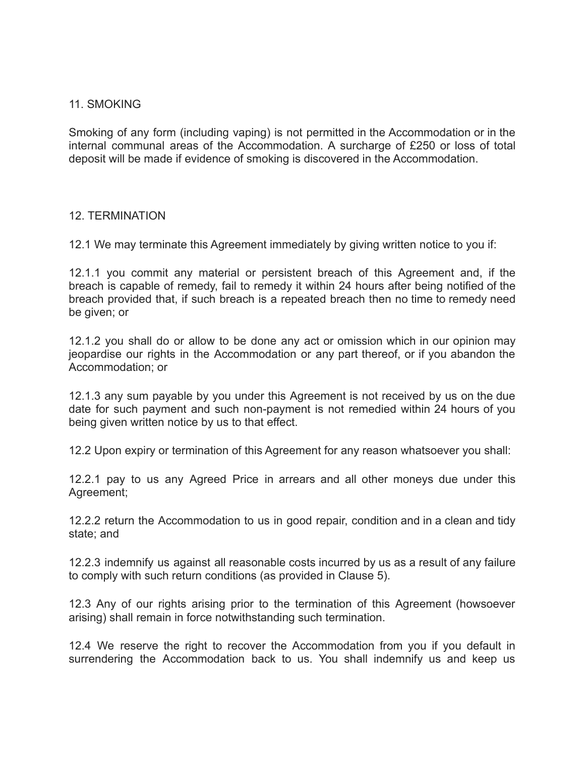# 11. SMOKING

Smoking of any form (including vaping) is not permitted in the Accommodation or in the internal communal areas of the Accommodation. A surcharge of £250 or loss of total deposit will be made if evidence of smoking is discovered in the Accommodation.

# 12. TERMINATION

12.1 We may terminate this Agreement immediately by giving written notice to you if:

12.1.1 you commit any material or persistent breach of this Agreement and, if the breach is capable of remedy, fail to remedy it within 24 hours after being notified of the breach provided that, if such breach is a repeated breach then no time to remedy need be given; or

12.1.2 you shall do or allow to be done any act or omission which in our opinion may jeopardise our rights in the Accommodation or any part thereof, or if you abandon the Accommodation; or

12.1.3 any sum payable by you under this Agreement is not received by us on the due date for such payment and such non-payment is not remedied within 24 hours of you being given written notice by us to that effect.

12.2 Upon expiry or termination of this Agreement for any reason whatsoever you shall:

12.2.1 pay to us any Agreed Price in arrears and all other moneys due under this Agreement;

12.2.2 return the Accommodation to us in good repair, condition and in a clean and tidy state; and

12.2.3 indemnify us against all reasonable costs incurred by us as a result of any failure to comply with such return conditions (as provided in Clause 5).

12.3 Any of our rights arising prior to the termination of this Agreement (howsoever arising) shall remain in force notwithstanding such termination.

12.4 We reserve the right to recover the Accommodation from you if you default in surrendering the Accommodation back to us. You shall indemnify us and keep us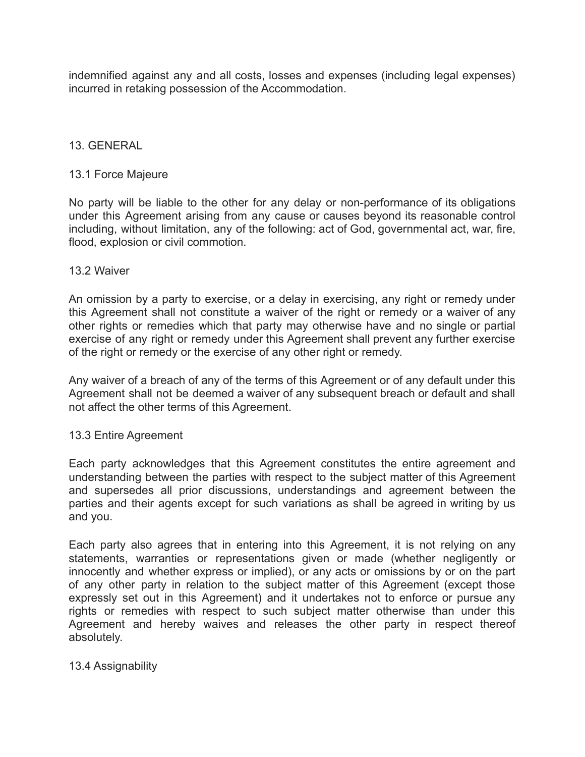indemnified against any and all costs, losses and expenses (including legal expenses) incurred in retaking possession of the Accommodation.

# 13. GENERAL

### 13.1 Force Majeure

No party will be liable to the other for any delay or non-performance of its obligations under this Agreement arising from any cause or causes beyond its reasonable control including, without limitation, any of the following: act of God, governmental act, war, fire, flood, explosion or civil commotion.

#### 13.2 Waiver

An omission by a party to exercise, or a delay in exercising, any right or remedy under this Agreement shall not constitute a waiver of the right or remedy or a waiver of any other rights or remedies which that party may otherwise have and no single or partial exercise of any right or remedy under this Agreement shall prevent any further exercise of the right or remedy or the exercise of any other right or remedy.

Any waiver of a breach of any of the terms of this Agreement or of any default under this Agreement shall not be deemed a waiver of any subsequent breach or default and shall not affect the other terms of this Agreement.

### 13.3 Entire Agreement

Each party acknowledges that this Agreement constitutes the entire agreement and understanding between the parties with respect to the subject matter of this Agreement and supersedes all prior discussions, understandings and agreement between the parties and their agents except for such variations as shall be agreed in writing by us and you.

Each party also agrees that in entering into this Agreement, it is not relying on any statements, warranties or representations given or made (whether negligently or innocently and whether express or implied), or any acts or omissions by or on the part of any other party in relation to the subject matter of this Agreement (except those expressly set out in this Agreement) and it undertakes not to enforce or pursue any rights or remedies with respect to such subject matter otherwise than under this Agreement and hereby waives and releases the other party in respect thereof absolutely.

### 13.4 Assignability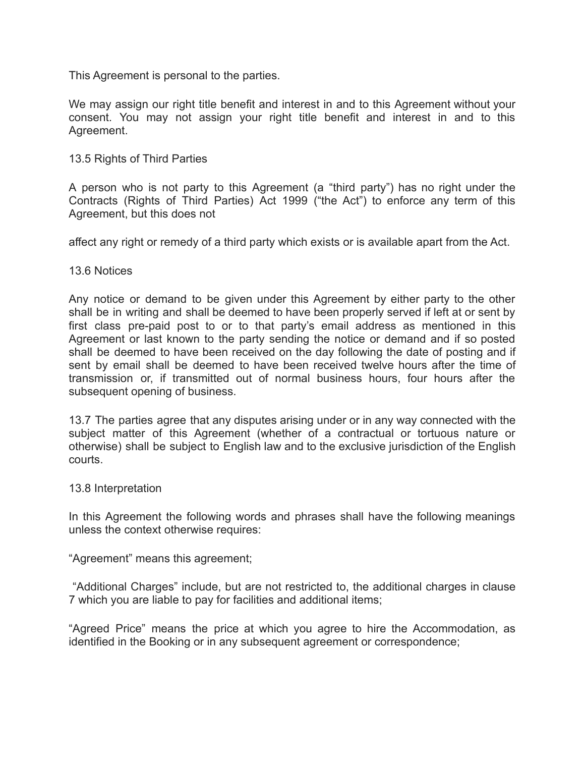This Agreement is personal to the parties.

We may assign our right title benefit and interest in and to this Agreement without your consent. You may not assign your right title benefit and interest in and to this Agreement.

# 13.5 Rights of Third Parties

A person who is not party to this Agreement (a "third party") has no right under the Contracts (Rights of Third Parties) Act 1999 ("the Act") to enforce any term of this Agreement, but this does not

affect any right or remedy of a third party which exists or is available apart from the Act.

# 13.6 Notices

Any notice or demand to be given under this Agreement by either party to the other shall be in writing and shall be deemed to have been properly served if left at or sent by first class pre-paid post to or to that party's email address as mentioned in this Agreement or last known to the party sending the notice or demand and if so posted shall be deemed to have been received on the day following the date of posting and if sent by email shall be deemed to have been received twelve hours after the time of transmission or, if transmitted out of normal business hours, four hours after the subsequent opening of business.

13.7 The parties agree that any disputes arising under or in any way connected with the subject matter of this Agreement (whether of a contractual or tortuous nature or otherwise) shall be subject to English law and to the exclusive jurisdiction of the English courts.

### 13.8 Interpretation

In this Agreement the following words and phrases shall have the following meanings unless the context otherwise requires:

"Agreement" means this agreement;

"Additional Charges" include, but are not restricted to, the additional charges in clause 7 which you are liable to pay for facilities and additional items;

"Agreed Price" means the price at which you agree to hire the Accommodation, as identified in the Booking or in any subsequent agreement or correspondence;